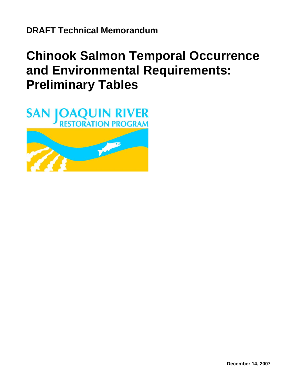**DRAFT Technical Memorandum** 

## **Chinook Salmon Temporal Occurrence and Environmental Requirements: Preliminary Tables**

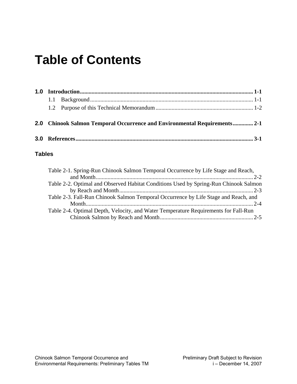# **Table of Contents**

| 2.0 Chinook Salmon Temporal Occurrence and Environmental Requirements 2-1 |  |
|---------------------------------------------------------------------------|--|
|                                                                           |  |

### **Tables**

| Table 2-1. Spring-Run Chinook Salmon Temporal Occurrence by Life Stage and Reach,    |
|--------------------------------------------------------------------------------------|
|                                                                                      |
| Table 2-2. Optimal and Observed Habitat Conditions Used by Spring-Run Chinook Salmon |
|                                                                                      |
| Table 2-3. Fall-Run Chinook Salmon Temporal Occurrence by Life Stage and Reach, and  |
|                                                                                      |
| Table 2-4. Optimal Depth, Velocity, and Water Temperature Requirements for Fall-Run  |
|                                                                                      |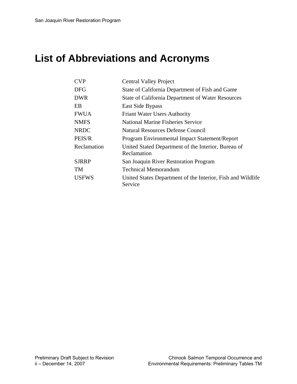### **List of Abbreviations and Acronyms**

| <b>CVP</b>   | <b>Central Valley Project</b>                                          |
|--------------|------------------------------------------------------------------------|
| <b>DFG</b>   | State of California Department of Fish and Game                        |
| <b>DWR</b>   | State of California Department of Water Resources                      |
| EB           | East Side Bypass                                                       |
| <b>FWUA</b>  | Friant Water Users Authority                                           |
| <b>NMFS</b>  | <b>National Marine Fisheries Service</b>                               |
| <b>NRDC</b>  | Natural Resources Defense Council                                      |
| PEIS/R       | Program Environmental Impact Statement/Report                          |
| Reclamation  | United Stated Department of the Interior, Bureau of<br>Reclamation     |
| <b>SJRRP</b> | San Joaquin River Restoration Program                                  |
| <b>TM</b>    | <b>Technical Memorandum</b>                                            |
| <b>USFWS</b> | United States Department of the Interior, Fish and Wildlife<br>Service |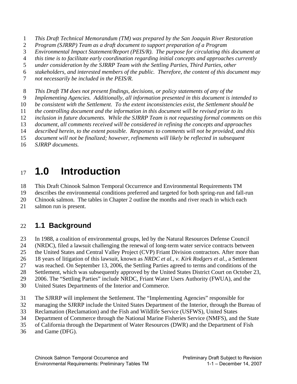- <span id="page-4-0"></span>*This Draft Technical Memorandum (TM) was prepared by the San Joaquin River Restoration*  1
- *Program (SJRRP) Team as a draft document to support preparation of a Program*  2
- *Environmental Impact Statement/Report (PEIS/R). The purpose for circulating this document at*  3
- *this time is to facilitate early coordination regarding initial concepts and approaches currently*  4
- *under consideration by the SJRRP Team with the Settling Parties, Third Parties, other*  5
- *stakeholders, and interested members of the public. Therefore, the content of this document may*  6
- *not necessarily be included in the PEIS/R.*  7
- 8 *This Draft TM does not present findings, decisions, or policy statements of any of the*
- 9 *Implementing Agencies. Additionally, all information presented in this document is intended to*
- 10 *be consistent with the Settlement. To the extent inconsistencies exist, the Settlement should be*
- 11 *the controlling document and the information in this document will be revised prior to its*
- 12 *inclusion in future documents. While the SJRRP Team is not requesting formal comments on this*
- 13 *document, all comments received will be considered in refining the concepts and approaches*
- 14 *described herein, to the extent possible. Responses to comments will not be provided, and this*
- 15 *document will not be finalized; however, refinements will likely be reflected in subsequent*
- 16 *SJRRP documents.*

#### 17 **1.0 Introduction**

18 This Draft Chinook Salmon Temporal Occurrence and Environmental Requirements TM

19 describes the environmental conditions preferred and targeted for both spring-run and fall-run

20 Chinook salmon. The tables in Chapter 2 outline the months and river reach in which each

21 salmon run is present.

#### 22 **1.1 Background**

- 23 In 1988, a coalition of environmental groups, led by the Natural Resources Defense Council
- 24 (NRDC), filed a lawsuit challenging the renewal of long-term water service contracts between
- 25 the United States and Central Valley Project (CVP) Friant Division contractors. After more than
- 26 18 years of litigation of this lawsuit, known as *NRDC et al., v. Kirk Rodgers et al.*, a Settlement
- 27 was reached. On September 13, 2006, the Settling Parties agreed to terms and conditions of the
- 28 Settlement, which was subsequently approved by the United States District Court on October 23,
- 29 2006. The "Settling Parties" include NRDC, Friant Water Users Authority (FWUA), and the
- 30 United States Departments of the Interior and Commerce.
- 31 The SJRRP will implement the Settlement. The "Implementing Agencies" responsible for
- 32 managing the SJRRP include the United States Department of the Interior, through the Bureau of
- 33 Reclamation (Reclamation) and the Fish and Wildlife Service (USFWS), United States
- 34 Department of Commerce through the National Marine Fisheries Service (NMFS), and the State
- 35 of California through the Department of Water Resources (DWR) and the Department of Fish
- 36 and Game (DFG).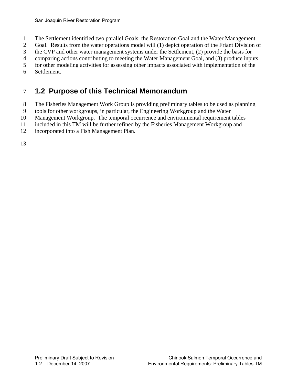- <span id="page-5-0"></span>1 The Settlement identified two parallel Goals: the Restoration Goal and the Water Management
- 2 Goal. Results from the water operations model will (1) depict operation of the Friant Division of
- 3 the CVP and other water management systems under the Settlement, (2) provide the basis for
- 4 comparing actions contributing to meeting the Water Management Goal, and (3) produce inputs
- 5 for other modeling activities for assessing other impacts associated with implementation of the
- 6 Settlement.

#### 7 **1.2 Purpose of this Technical Memorandum**

- 8 The Fisheries Management Work Group is providing preliminary tables to be used as planning
- 9 tools for other workgroups, in particular, the Engineering Workgroup and the Water
- 10 Management Workgroup. The temporal occurrence and environmental requirement tables
- 11 included in this TM will be further refined by the Fisheries Management Workgroup and
- 12 incorporated into a Fish Management Plan.
- 13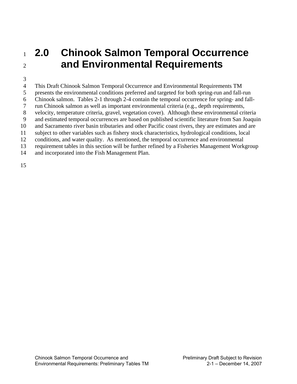#### <span id="page-6-0"></span>1  $\mathfrak{D}$ **2.0 Chinook Salmon Temporal Occurrence and Environmental Requirements**

3

4 This Draft Chinook Salmon Temporal Occurrence and Environmental Requirements TM

5 presents the environmental conditions preferred and targeted for both spring-run and fall-run

6 Chinook salmon. Tables 2-1 through 2-4 contain the temporal occurrence for spring- and fall-

7 run Chinook salmon as well as important environmental criteria (e.g., depth requirements,

8 velocity, temperature criteria, gravel, vegetation cover). Although these environmental criteria

9 and estimated temporal occurrences are based on published scientific literature from San Joaquin

10 and Sacramento river basin tributaries and other Pacific coast rivers, they are estimates and are

11 12 subject to other variables such as fishery stock characteristics, hydrological conditions, local

13 conditions, and water quality. As mentioned, the temporal occurrence and environmental requirement tables in this section will be further refined by a Fisheries Management Workgroup

14 and incorporated into the Fish Management Plan.

15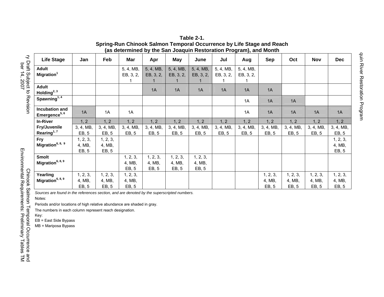| Table 2-1.                                                            |
|-----------------------------------------------------------------------|
| Spring-Run Chinook Salmon Temporal Occurrence by Life Stage and Reach |
| (as determined by the San Joaquin Restoration Program), and Month     |

| <b>Life Stage</b>                              | Jan                         | Feb                         | <b>Mar</b>                  | Apr                         | May                         | June                        | Jul                    | Aug                    | <b>Sep</b>                  | Oct                         | <b>Nov</b>                  | <b>Dec</b>                  |
|------------------------------------------------|-----------------------------|-----------------------------|-----------------------------|-----------------------------|-----------------------------|-----------------------------|------------------------|------------------------|-----------------------------|-----------------------------|-----------------------------|-----------------------------|
| <b>Adult</b><br>Migration <sup>1</sup>         |                             |                             | 5, 4, MB,<br>EB, 3, 2,      | 5, 4, MB,<br>EB, 3, 2,      | 5, 4, MB,<br>EB, 3, 2,      | 5, 4, MB,<br>EB, 3, 2,      | 5, 4, MB,<br>EB, 3, 2, | 5, 4, MB,<br>EB, 3, 2, |                             |                             |                             |                             |
| <b>Adult</b><br>Holding <sup>2, 3</sup>        |                             |                             |                             | 1A                          | 1A                          | 1A                          | 1A                     | 1A                     | 1A                          |                             |                             |                             |
| Spawning <sup>1, 4</sup>                       |                             |                             |                             |                             |                             |                             |                        | 1A                     | 1A                          | 1A                          |                             |                             |
| Incubation and<br>Emergence <sup>5, 6</sup>    | 1A                          | 1A                          | 1A                          |                             |                             |                             |                        | 1A                     | 1A                          | 1A                          | 1A                          | 1A                          |
| <b>In-River</b>                                | 1, 2                        | 1, 2                        | 1, 2                        | 1, 2                        | 1, 2                        | 1, 2                        | 1, 2                   | 1, 2                   | 1, 2                        | 1, 2                        | 1, 2                        | 1, 2                        |
| <b>Fry/Juvenile</b><br>Rearing <sup>1, 7</sup> | 3, 4, MB,<br>EB, 5          | 3, 4, MB,<br>EB, 5          | 3, 4, MB,<br>EB, 5          | 3, 4, MB,<br>EB, 5          | 3, 4, MB,<br>EB, 5          | 3, 4, MB,<br>EB, 5          | 3, 4, MB,<br>EB, 5     | 3, 4, MB,<br>EB, 5     | 3, 4, MB,<br>EB, 5          | 3, 4, MB,<br>EB, 5          | 3, 4, MB,<br>EB, 5          | 3, 4, MB,<br>EB, 5          |
| <b>Fry</b><br>Migration <sup>6, 8, 9</sup>     | 1, 2, 3,<br>4, MB,<br>EB, 5 | 1, 2, 3,<br>4, MB,<br>EB, 5 |                             |                             |                             |                             |                        |                        |                             |                             |                             | 1, 2, 3,<br>4, MB,<br>EB, 5 |
| <b>Smolt</b><br>Migration <sup>6, 8, 9</sup>   |                             |                             | 1, 2, 3,<br>4, MB,<br>EB, 5 | 1, 2, 3,<br>4, MB,<br>EB, 5 | 1, 2, 3,<br>4, MB,<br>EB, 5 | 1, 2, 3,<br>4, MB,<br>EB, 5 |                        |                        |                             |                             |                             |                             |
| Yearling<br>Migration <sup>6, 8, 9</sup>       | 1, 2, 3,<br>4, MB,<br>EB, 5 | 1, 2, 3,<br>4, MB,<br>EB, 5 | 1, 2, 3,<br>4, MB,<br>EB, 5 |                             |                             |                             |                        |                        | 1, 2, 3,<br>4, MB,<br>EB, 5 | 1, 2, 3,<br>4, MB,<br>EB, 5 | 1, 2, 3,<br>4, MB,<br>EB, 5 | 1, 2, 3,<br>4, MB,<br>EB, 5 |

Sources are found in the references section, and are denoted by the superscripted numbers.

Notes:

Periods and/or locations of high relative abundance are shaded in gray.

The numbers in each column represent reach designation.

Key: EB = East Side Bypass

<span id="page-7-0"></span>MB = Mariposa Bypass

ry Draft Subject to Revision ber 14, 2007

Chinook Salmon Temporal Occurrence and<br>Environmental Requirements: Preliminary Tables TM Environmental Requirements: Preliminary Tables TM Chinook Salmon Temporal Occurrence and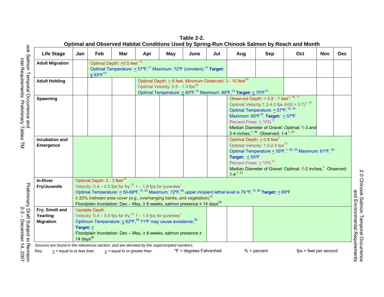<span id="page-8-0"></span>

| ook Salmon Temporal Occurrence and<br>and Observed Habitat Obtigations Osca by Ophing Kan Ohmook Odinion by Readir and mo           |                                                                                                                                                                |                                                                                                |                                                                                                         |     |                                                                           |      |     |                                                                                                                                                                  |                                                                             |                                                                        |     |            |  |  |  |
|-------------------------------------------------------------------------------------------------------------------------------------|----------------------------------------------------------------------------------------------------------------------------------------------------------------|------------------------------------------------------------------------------------------------|---------------------------------------------------------------------------------------------------------|-----|---------------------------------------------------------------------------|------|-----|------------------------------------------------------------------------------------------------------------------------------------------------------------------|-----------------------------------------------------------------------------|------------------------------------------------------------------------|-----|------------|--|--|--|
| <b>Life Stage</b>                                                                                                                   | Jan                                                                                                                                                            | Feb                                                                                            | Mar                                                                                                     | Apr | May                                                                       | June | Jul | Aug                                                                                                                                                              | Sep                                                                         | Oct                                                                    | Nov | <b>Dec</b> |  |  |  |
| <b>Adult Migration</b>                                                                                                              |                                                                                                                                                                |                                                                                                | Optimal Depth: > 0.5 feet <sup>10</sup>                                                                 |     |                                                                           |      |     |                                                                                                                                                                  |                                                                             |                                                                        |     |            |  |  |  |
|                                                                                                                                     |                                                                                                                                                                |                                                                                                | Optimal Temperature: $\leq 57^{\circ}F$ , <sup>11</sup> Maximum: 72°F (constant), <sup>12</sup> Target: |     |                                                                           |      |     |                                                                                                                                                                  |                                                                             |                                                                        |     |            |  |  |  |
|                                                                                                                                     |                                                                                                                                                                | $< 63^{\circ}F^{13}$                                                                           |                                                                                                         |     |                                                                           |      |     |                                                                                                                                                                  |                                                                             |                                                                        |     |            |  |  |  |
| <b>Adult Holding</b>                                                                                                                |                                                                                                                                                                |                                                                                                |                                                                                                         |     | Optimal Depth: $\geq 8$ feet, Minimum Observed: 3 - 10 feet <sup>14</sup> |      |     |                                                                                                                                                                  |                                                                             |                                                                        |     |            |  |  |  |
|                                                                                                                                     |                                                                                                                                                                |                                                                                                |                                                                                                         |     | Optimal Velocity: 0.5 - 1.3 fps <sup>14</sup>                             |      |     |                                                                                                                                                                  |                                                                             |                                                                        |     |            |  |  |  |
|                                                                                                                                     |                                                                                                                                                                |                                                                                                |                                                                                                         |     |                                                                           |      |     | Optimal Temperature: $\leq 60^{\circ}F$ , <sup>15</sup> Maximum: 80°F, <sup>15</sup> Target: $\leq 70^{\circ}F^{15}$                                             |                                                                             |                                                                        |     |            |  |  |  |
| Spawning                                                                                                                            |                                                                                                                                                                |                                                                                                |                                                                                                         |     |                                                                           |      |     |                                                                                                                                                                  | Observed Depth: $> 0.8 - 7$ feet <sup>1, 16, 17</sup>                       |                                                                        |     |            |  |  |  |
|                                                                                                                                     |                                                                                                                                                                |                                                                                                |                                                                                                         |     |                                                                           |      |     |                                                                                                                                                                  |                                                                             | Optimal Velocity: 1.2-4.0 fps $(HSI > 0.7)^{1,17}$                     |     |            |  |  |  |
|                                                                                                                                     |                                                                                                                                                                |                                                                                                |                                                                                                         |     |                                                                           |      |     |                                                                                                                                                                  | Optimal Temperature: $\leq 57^{\circ}F, ^{18, 19}$                          |                                                                        |     |            |  |  |  |
|                                                                                                                                     |                                                                                                                                                                |                                                                                                |                                                                                                         |     |                                                                           |      |     |                                                                                                                                                                  | Maximum: $65^{\circ}F^{10}$ , Target: $\leq 57^{\circ}F$                    |                                                                        |     |            |  |  |  |
|                                                                                                                                     |                                                                                                                                                                |                                                                                                |                                                                                                         |     |                                                                           |      |     | Percent Fines: $\leq 10\%$ <sup>1</sup>                                                                                                                          |                                                                             |                                                                        |     |            |  |  |  |
|                                                                                                                                     |                                                                                                                                                                |                                                                                                |                                                                                                         |     |                                                                           |      |     |                                                                                                                                                                  |                                                                             | Median Diameter of Gravel: Optimal: 1-3 and                            |     |            |  |  |  |
|                                                                                                                                     |                                                                                                                                                                |                                                                                                |                                                                                                         |     |                                                                           |      |     |                                                                                                                                                                  | 2-4 inches, $1, 20$ Observed: 1-4 $1, 21$                                   |                                                                        |     |            |  |  |  |
| Incubation and                                                                                                                      |                                                                                                                                                                | Optimal Depth: $\geq$ 0.8 feet <sup>1</sup><br>Optimal Velocity: 1.5-2.4 fps <sup>10</sup>     |                                                                                                         |     |                                                                           |      |     |                                                                                                                                                                  |                                                                             |                                                                        |     |            |  |  |  |
| <b>Emergence</b>                                                                                                                    |                                                                                                                                                                |                                                                                                |                                                                                                         |     |                                                                           |      |     |                                                                                                                                                                  | Optimal Temperature $\leq 55^{\circ}F, ^{1, 22, 23}$ Maximum: 61°F, $^{24}$ |                                                                        |     |            |  |  |  |
|                                                                                                                                     |                                                                                                                                                                |                                                                                                |                                                                                                         |     |                                                                           |      |     | Target: $\leq 55^{\circ}$ F                                                                                                                                      |                                                                             |                                                                        |     |            |  |  |  |
|                                                                                                                                     |                                                                                                                                                                |                                                                                                |                                                                                                         |     |                                                                           |      |     | Percent Fines: $\leq 10\%^{10}$                                                                                                                                  |                                                                             |                                                                        |     |            |  |  |  |
|                                                                                                                                     |                                                                                                                                                                |                                                                                                |                                                                                                         |     |                                                                           |      |     |                                                                                                                                                                  |                                                                             | Median Diameter of Gravel: Optimal: 1-2 inches, <sup>1</sup> Observed: |     |            |  |  |  |
|                                                                                                                                     |                                                                                                                                                                |                                                                                                |                                                                                                         |     |                                                                           |      |     | $1 - 4^{1,21}$                                                                                                                                                   |                                                                             |                                                                        |     |            |  |  |  |
| <b>In-River</b>                                                                                                                     |                                                                                                                                                                | Optimal Depth: 2 - 3 feet <sup>10</sup>                                                        |                                                                                                         |     |                                                                           |      |     |                                                                                                                                                                  |                                                                             |                                                                        |     |            |  |  |  |
| <b>Fry/Juvenile</b>                                                                                                                 |                                                                                                                                                                | Velocity: $0.4 - 0.5$ fps for fry, $10$ 1 - 1.8 fps for juveniles <sup>1</sup>                 |                                                                                                         |     |                                                                           |      |     |                                                                                                                                                                  |                                                                             |                                                                        |     |            |  |  |  |
|                                                                                                                                     |                                                                                                                                                                |                                                                                                |                                                                                                         |     |                                                                           |      |     | Optimal Temperature: $\leq$ 50-68°F, <sup>12, 25</sup> Maximum: 72°F, <sup>26</sup> upper incipient lethal level is 79 °F, <sup>12, 26</sup> Target: $\leq$ 65°F |                                                                             |                                                                        |     |            |  |  |  |
|                                                                                                                                     |                                                                                                                                                                | $\geq$ 20% instream area cover (e.g., overhanging banks, and vegetation) <sup>10</sup>         |                                                                                                         |     |                                                                           |      |     |                                                                                                                                                                  |                                                                             |                                                                        |     |            |  |  |  |
|                                                                                                                                     |                                                                                                                                                                | Floodplain Inundation: Dec - May, $\geq 8$ weeks, salmon presence $\geq 14$ days <sup>28</sup> |                                                                                                         |     |                                                                           |      |     |                                                                                                                                                                  |                                                                             |                                                                        |     |            |  |  |  |
| Fry, Smolt and                                                                                                                      |                                                                                                                                                                | <b>Variable Depth</b>                                                                          |                                                                                                         |     |                                                                           |      |     |                                                                                                                                                                  |                                                                             |                                                                        |     |            |  |  |  |
| Yearling                                                                                                                            | Velocity: $0.4 - 0.5$ fps for fry, $10 - 1.8$ fps for juveniles <sup>1</sup><br>Optimum Temperature: $\leq 62^{\circ}F^{29}$ 71°F may cause avoidance, $^{26}$ |                                                                                                |                                                                                                         |     |                                                                           |      |     |                                                                                                                                                                  |                                                                             |                                                                        |     |            |  |  |  |
| <b>Migration</b>                                                                                                                    |                                                                                                                                                                |                                                                                                |                                                                                                         |     |                                                                           |      |     |                                                                                                                                                                  |                                                                             |                                                                        |     |            |  |  |  |
|                                                                                                                                     | Target: $\leq$                                                                                                                                                 |                                                                                                |                                                                                                         |     |                                                                           |      |     |                                                                                                                                                                  |                                                                             |                                                                        |     |            |  |  |  |
|                                                                                                                                     |                                                                                                                                                                | Floodplain Inundation: Dec - May, ≥ 8 weeks, salmon presence ≥                                 |                                                                                                         |     |                                                                           |      |     |                                                                                                                                                                  |                                                                             |                                                                        |     |            |  |  |  |
|                                                                                                                                     | 14 days $^{28}$                                                                                                                                                |                                                                                                |                                                                                                         |     |                                                                           |      |     |                                                                                                                                                                  |                                                                             |                                                                        |     |            |  |  |  |
| Preliminary Draft Subject to Revision<br>Sources are found in the references section, and are denoted by the superscripted numbers. |                                                                                                                                                                |                                                                                                |                                                                                                         |     |                                                                           |      |     |                                                                                                                                                                  |                                                                             |                                                                        |     |            |  |  |  |
|                                                                                                                                     | <b>PF</b> = degrees Fahrenheit<br>$% = percent$<br>$fps = feet per second$<br>$\geq$ = equal to or greater than<br>$\leq$ = equal to or less than<br>Key:      |                                                                                                |                                                                                                         |     |                                                                           |      |     |                                                                                                                                                                  |                                                                             |                                                                        |     |            |  |  |  |
|                                                                                                                                     |                                                                                                                                                                |                                                                                                |                                                                                                         |     |                                                                           |      |     |                                                                                                                                                                  |                                                                             |                                                                        |     |            |  |  |  |

**Table 2-2. Optimal and Observed Habitat Conditions Used b y Sprin g-Run Chinook Salmon b y Reach and Month**

2.0 Chinook Salmon Temporal Occurrence<br>and Environmental Requirements 2.0 Chinook Salmon Temporal Occurrence and Environmental Requirements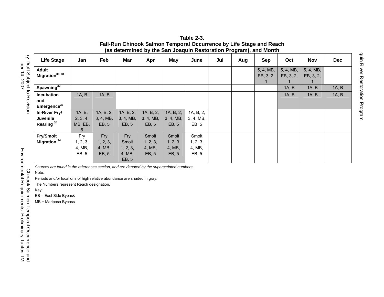**Table 2-3. Fall-Run Chinook Salmon Temporal Occurrence b y Life Stage and Reach (as determined b y the San Joaquin Restoration Progra m), and Month** 

| Ν.                        | <b>Life Stage</b>           | Jan      | Feb       | Mar       | Apr       | May       | June      | Jul | Aug | Sep       | Oct       | <b>Nov</b> | <b>Dec</b> |  |
|---------------------------|-----------------------------|----------|-----------|-----------|-----------|-----------|-----------|-----|-----|-----------|-----------|------------|------------|--|
|                           | <b>Adult</b>                |          |           |           |           |           |           |     |     | 5, 4, MB, | 5, 4, MB, | 5, 4, MB,  |            |  |
|                           | Migration <sup>30, 31</sup> |          |           |           |           |           |           |     |     | EB, 3, 2, | EB, 3, 2, | EB, 3, 2,  |            |  |
|                           |                             |          |           |           |           |           |           |     |     |           |           |            |            |  |
| Draft Subject to Revision | Spawning $\overline{3^2}$   |          |           |           |           |           |           |     |     |           | 1A, B     | 1A, B      | 1A, B      |  |
|                           | <b>Incubation</b>           | 1A, B    | 1A, B     |           |           |           |           |     |     |           | 1A, B     | 1A, B      | 1A, B      |  |
|                           | and                         |          |           |           |           |           |           |     |     |           |           |            |            |  |
|                           | Emergence <sup>33</sup>     |          |           |           |           |           |           |     |     |           |           |            |            |  |
|                           | In-River Fry/               | 1A, B,   | 1A, B, 2, | 1A, B, 2, | 1A, B, 2, | 1A, B, 2, | 1A, B, 2, |     |     |           |           |            |            |  |
|                           | Juvenile                    | 2, 3, 4, | 3, 4, MB, | 3, 4, MB, | 3, 4, MB, | 3, 4, MB, | 3, 4, MB, |     |     |           |           |            |            |  |
|                           | Rearing <sup>34</sup>       | MB, EB,  | EB, 5     | EB, 5     | EB, 5     | EB, 5     | EB, 5     |     |     |           |           |            |            |  |
|                           |                             | 5        |           |           |           |           |           |     |     |           |           |            |            |  |
|                           | Fry/Smolt                   | Fry      | Fry       | Fry       | Smolt     | Smolt     | Smolt     |     |     |           |           |            |            |  |
|                           | Migration <sup>34</sup>     | 1, 2, 3, | 1, 2, 3,  | Smolt     | 1, 2, 3,  | 1, 2, 3,  | 1, 2, 3,  |     |     |           |           |            |            |  |
|                           |                             | 4, MB,   | 4, MB,    | 1, 2, 3,  | 4, MB,    | 4, MB,    | 4, MB,    |     |     |           |           |            |            |  |
|                           |                             | EB, 5    | EB, 5     | 4, MB,    | EB, 5     | EB, 5     | EB, 5     |     |     |           |           |            |            |  |
|                           |                             |          |           | EB, 5     |           |           |           |     |     |           |           |            |            |  |
|                           |                             |          |           |           |           |           |           |     |     |           |           |            |            |  |

*Sources are found in the references section, and are denote d by the superscripted numbers.*

Note:

Periods and/or locations of high relative abundance are shaded in gray.

The Numbers represent Reach designation.

Key: EB = East Side Bypas<sup>s</sup>

<span id="page-9-0"></span>MB = Mariposa Bypass

Chinook Salmon Temporal Occurrence and<br>Environmental Requirements: Preliminary Tables TM Environmental Requirements: Preliminary Tables TM Chinook Salmon Temporal Occurrence and

ber 14, 2007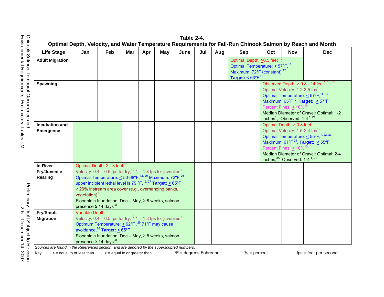| <b>Life Stage</b>                    | Jan                                                                                                              | Feb                                                                                                                                                                                                                                      | <b>Mar</b> | Apr | May | June | Jul                               | Aug                                                                                                                                                                                                  | <b>Sep</b>                                                                                                                                                                            | Oct | <b>Nov</b>                                                                                                                            | <b>Dec</b>                                                                                                                                                                                                          |
|--------------------------------------|------------------------------------------------------------------------------------------------------------------|------------------------------------------------------------------------------------------------------------------------------------------------------------------------------------------------------------------------------------------|------------|-----|-----|------|-----------------------------------|------------------------------------------------------------------------------------------------------------------------------------------------------------------------------------------------------|---------------------------------------------------------------------------------------------------------------------------------------------------------------------------------------|-----|---------------------------------------------------------------------------------------------------------------------------------------|---------------------------------------------------------------------------------------------------------------------------------------------------------------------------------------------------------------------|
| <b>Adult Migration</b>               |                                                                                                                  |                                                                                                                                                                                                                                          |            |     |     |      |                                   |                                                                                                                                                                                                      | Optimal Depth: $\geq$ 0.5 feet <sup>10</sup><br>Optimal Temperature: $\leq 57^{\circ}$ F, <sup>11</sup><br>Maximum: 72°F (constant), <sup>12</sup><br>Target: $\leq 63^{\circ}F^{13}$ |     |                                                                                                                                       |                                                                                                                                                                                                                     |
| Spawning                             |                                                                                                                  |                                                                                                                                                                                                                                          |            |     |     |      |                                   |                                                                                                                                                                                                      |                                                                                                                                                                                       |     | Optimal Velocity: 1.2-3.5 fps <sup>1</sup><br>Percent Fines: $\leq 10\%^{10}$<br>inches <sup>1</sup> , Observed: 1-4 <sup>1, 21</sup> | Observed Depth: $> 0.8 - 14$ feet <sup>1, 16, 35</sup><br>Optimal Temperature: $\leq 57^{\circ}F, ^{18, 19}$<br>Maximum: $65^{\circ}F^{10}$ , Target: $\leq 57^{\circ}F$<br>Median Diameter of Gravel: Optimal: 1-2 |
| Incubation and                       |                                                                                                                  |                                                                                                                                                                                                                                          |            |     |     |      |                                   |                                                                                                                                                                                                      |                                                                                                                                                                                       |     | Optimal Depth: $\geq$ 0.8 feet <sup>1</sup>                                                                                           |                                                                                                                                                                                                                     |
| <b>Emergence</b>                     | Percent Fines: $\leq 10\%^{10}$                                                                                  |                                                                                                                                                                                                                                          |            |     |     |      | inches, $35$ Observed: 1-4 $1,21$ | Optimal Velocity: 1.5-2.4 fps <sup>10</sup><br>Optimal Temperature: $\leq 55^{\circ}F, ^{1, 22, 23}$<br>Maximum: 61°F <sup>24</sup> , Target: $\leq$ 55°F<br>Median Diameter of Gravel: Optimal: 2-4 |                                                                                                                                                                                       |     |                                                                                                                                       |                                                                                                                                                                                                                     |
| <b>In-River</b>                      |                                                                                                                  | Optimal Depth: 2 - 3 feet <sup>10</sup>                                                                                                                                                                                                  |            |     |     |      |                                   |                                                                                                                                                                                                      |                                                                                                                                                                                       |     |                                                                                                                                       |                                                                                                                                                                                                                     |
| <b>Fry/Juvenile</b>                  |                                                                                                                  | Velocity: $0.4 - 0.5$ fps for fry, $10$ 1 - 1.8 fps for juveniles <sup>1</sup>                                                                                                                                                           |            |     |     |      |                                   |                                                                                                                                                                                                      |                                                                                                                                                                                       |     |                                                                                                                                       |                                                                                                                                                                                                                     |
| Rearing                              | ≥ 20% instream area cover (e.g., overhanging banks,<br>vegetation) $10$<br>presence $\geq$ 14 days <sup>28</sup> | Optimal Temperature: < 50-68°F, <sup>12,25</sup> Maximum: 72°F, <sup>26</sup><br>upper incipient lethal level is 79 °F, <sup>12, 27</sup> Target: $\leq$ 65°F<br>Floodplain Inundation: Dec - May, ≥ 8 weeks, salmon                     |            |     |     |      |                                   |                                                                                                                                                                                                      |                                                                                                                                                                                       |     |                                                                                                                                       |                                                                                                                                                                                                                     |
| <b>Fry/Smolt</b><br><b>Migration</b> | <b>Variable Depth</b><br>presence ≥ 14 days <sup>28</sup>                                                        | Velocity: $0.4 - 0.5$ fps for fry, $10 - 1.8$ fps for juveniles <sup>1</sup><br>Optimum Temperature: < 62°F, <sup>29</sup> 71°F may cause<br>avoidance, $26$ Target: $\leq 65$ °F<br>Floodplain Inundation: Dec - May, ≥ 8 weeks, salmon |            |     |     |      |                                   |                                                                                                                                                                                                      |                                                                                                                                                                                       |     |                                                                                                                                       |                                                                                                                                                                                                                     |

<span id="page-10-0"></span>Preliminary Draft Subject to Revision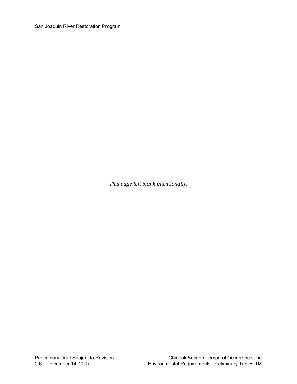San Joaquin River Restoration Program

*This page left blank intentionally.*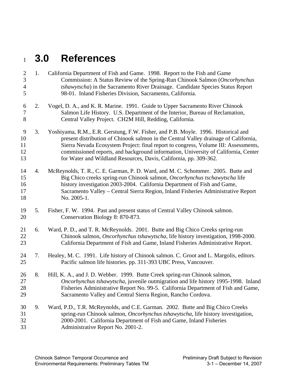## <span id="page-12-0"></span><sup>1</sup>**3.0 References**

| $\mathbf{2}$<br>3<br>$\overline{\mathcal{A}}$<br>5 | 1. | California Department of Fish and Game. 1998. Report to the Fish and Game<br>Commission: A Status Review of the Spring-Run Chinook Salmon (Oncorhynchus<br>tshawytscha) in the Sacramento River Drainage. Candidate Species Status Report<br>98-01. Inland Fisheries Division, Sacramento, California.                                                                                                                      |
|----------------------------------------------------|----|-----------------------------------------------------------------------------------------------------------------------------------------------------------------------------------------------------------------------------------------------------------------------------------------------------------------------------------------------------------------------------------------------------------------------------|
| 6<br>$\overline{7}$<br>8                           | 2. | Vogel, D. A., and K. R. Marine. 1991. Guide to Upper Sacramento River Chinook<br>Salmon Life History. U.S. Department of the Interior, Bureau of Reclamation,<br>Central Valley Project. CH2M Hill, Redding, California.                                                                                                                                                                                                    |
| 9<br>10<br>11<br>12<br>13                          | 3. | Yoshiyama, R.M., E.R. Gerstung, F.W. Fisher, and P.B. Moyle. 1996. Historical and<br>present distribution of Chinook salmon in the Central Valley drainage of California,<br>Sierra Nevada Ecosystem Project: final report to congress, Volume III: Assessments,<br>commissioned reports, and background information, University of California, Center<br>for Water and Wildland Resources, Davis, California, pp. 309-362. |
| 14<br>15<br>16<br>17<br>18                         | 4. | McReynolds, T. R., C. E. Garman, P. D. Ward, and M. C. Schommer. 2005. Butte and<br>Big Chico creeks spring-run Chinook salmon, Oncorhynchus tschawytscha life<br>history investigation 2003-2004. California Department of Fish and Game,<br>Sacramento Valley - Central Sierra Region, Inland Fisheries Administrative Report<br>No. 2005-1.                                                                              |
| 19<br>20                                           | 5. | Fisher, F. W. 1994. Past and present status of Central Valley Chinook salmon.<br>Conservation Biology 8: 870-873.                                                                                                                                                                                                                                                                                                           |
| 21<br>22<br>23                                     | 6. | Ward, P. D., and T. R. McReynolds. 2001. Butte and Big Chico Creeks spring-run<br>Chinook salmon, Oncorhynchus tshawytscha, life history investigation, 1998-2000.<br>California Department of Fish and Game, Inland Fisheries Administrative Report.                                                                                                                                                                       |
| 24<br>25                                           | 7. | Healey, M. C. 1991. Life history of Chinook salmon. C. Groot and L. Margolis, editors.<br>Pacific salmon life histories. pp. 311-393 UBC Press, Vancouver.                                                                                                                                                                                                                                                                  |
| 26<br>27<br>$28\,$<br>29                           | 8. | Hill, K. A., and J. D. Webber. 1999. Butte Creek spring-run Chinook salmon,<br>Oncorhynchus tshawytscha, juvenile outmigration and life history 1995-1998. Inland<br>Fisheries Administrative Report No. 99-5. California Department of Fish and Game,<br>Sacramento Valley and Central Sierra Region, Rancho Cordova.                                                                                                      |
| 30<br>31<br>32<br>33                               | 9. | Ward, P.D., T.R. McReynolds, and C.E. Garman. 2002. Butte and Big Chico Creeks<br>spring-run Chinook salmon, Oncorhynchus tshawytscha, life history investigation,<br>2000-2001. California Department of Fish and Game, Inland Fisheries<br>Administrative Report No. 2001-2.                                                                                                                                              |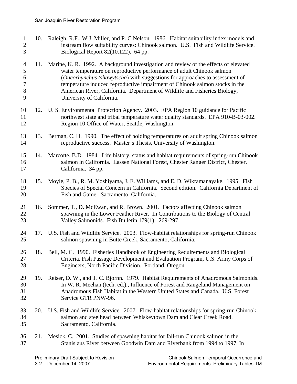1 2 3 4 5 6 7 8 9 10 11 12 13 14 15 16 17 18 19 20 21 22 23 24 25 26 27 28 29 30 31 32 33 34 35 36 37 10. Raleigh, R.F., W.J. Miller, and P. C Nelson. 1986. Habitat suitability index models and instream flow suitability curves: Chinook salmon. U.S. Fish and Wildlife Service. Biological Report 82(10.122). 64 pp. 11. Marine, K. R. 1992. A background investigation and review of the effects of elevated water temperature on reproductive performance of adult Chinook salmon (*Oncorhynchus tshawytscha*) with suggestions for approaches to assessment of temperature induced reproductive impairment of Chinook salmon stocks in the American River, California. Department of Wildlife and Fisheries Biology, University of California. 12. U. S. Environmental Protection Agency. 2003. EPA Region 10 guidance for Pacific northwest state and tribal temperature water quality standards. EPA 910-B-03-002. Region 10 Office of Water, Seattle, Washington. 13. Berman, C. H. 1990. The effect of holding temperatures on adult spring Chinook salmon reproductive success. Master's Thesis, University of Washington. 14. Marcotte, B.D. 1984. Life history, status and habitat requirements of spring-run Chinook salmon in California. Lassen National Forest, Chester Ranger District, Chester, California. 34 pp. 15. Moyle, P. B., R. M. Yoshiyama, J. E. Williams, and E. D. Wikramanayake. 1995. Fish Species of Special Concern in California. Second edition. California Department of Fish and Game. Sacramento, California. 16. Sommer, T., D. McEwan, and R. Brown. 2001. Factors affecting Chinook salmon spawning in the Lower Feather River. In Contributions to the Biology of Central Valley Salmonids. Fish Bulletin 179(1): 269-297. 17. U.S. Fish and Wildlife Service. 2003. Flow-habitat relationships for spring-run Chinook salmon spawning in Butte Creek, Sacramento, California. 18. Bell, M. C. 1990. Fisheries Handbook of Engineering Requirements and Biological Criteria. Fish Passage Development and Evaluation Program, U.S. Army Corps of Engineers, North Pacific Division. Portland, Oregon. 19. Reiser, D. W., and T. C. Bjornn. 1979. Habitat Requirements of Anadromous Salmonids. In W. R. Meehan (tech. ed.)., Influence of Forest and Rangeland Management on Anadromous Fish Habitat in the Western United States and Canada. U.S. Forest Service GTR PNW-96. 20. U.S. Fish and Wildlife Service. 2007. Flow-habitat relationships for spring-run Chinook salmon and steelhead between Whiskeytown Dam and Clear Creek Road. Sacramento, California. 21. Mesick, C. 2001. Studies of spawning habitat for fall-run Chinook salmon in the Stanislaus River between Goodwin Dam and Riverbank from 1994 to 1997. In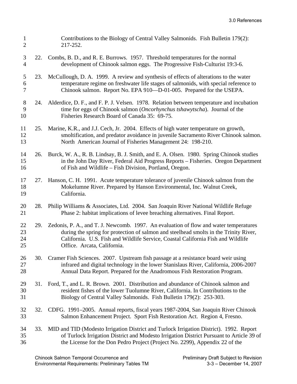| $\mathbf{1}$<br>$\overline{2}$ |     | Contributions to the Biology of Central Valley Salmonids. Fish Bulletin 179(2):<br>217-252.                                                                                                                                                                                                       |
|--------------------------------|-----|---------------------------------------------------------------------------------------------------------------------------------------------------------------------------------------------------------------------------------------------------------------------------------------------------|
| 3<br>$\overline{4}$            | 22. | Combs, B. D., and R. E. Burrows. 1957. Threshold temperatures for the normal<br>development of Chinook salmon eggs. The Progressive Fish-Culturist 19:3-6.                                                                                                                                        |
| 5<br>6<br>7                    | 23. | McCullough, D. A. 1999. A review and synthesis of effects of alterations to the water<br>temperature regime on freshwater life stages of salmonids, with special reference to<br>Chinook salmon. Report No. EPA 910-D-01-005. Prepared for the USEPA.                                             |
| $\,8\,$<br>9<br>10             | 24. | Alderdice, D. F., and F. P. J. Velsen. 1978. Relation between temperature and incubation<br>time for eggs of Chinook salmon (Oncorhynchus tshawytscha). Journal of the<br>Fisheries Research Board of Canada 35: 69-75.                                                                           |
| 11<br>12<br>13                 | 25. | Marine, K.R., and J.J. Cech, Jr. 2004. Effects of high water temperature on growth,<br>smoltification, and predator avoidance in juvenile Sacramento River Chinook salmon.<br>North American Journal of Fisheries Management 24: 198-210.                                                         |
| 14<br>15<br>16                 | 26. | Burck, W. A., R. B. Lindsay, B. J. Smith, and E. A. Olsen. 1980. Spring Chinook studies<br>in the John Day River, Federal Aid Progress Reports – Fisheries. Oregon Department<br>of Fish and Wildlife – Fish Division, Portland, Oregon.                                                          |
| 17<br>18<br>19                 | 27. | Hanson, C. H. 1991. Acute temperature tolerance of juvenile Chinook salmon from the<br>Mokelumne River. Prepared by Hanson Environmental, Inc. Walnut Creek,<br>California.                                                                                                                       |
| 20<br>21                       | 28. | Philip Williams & Associates, Ltd. 2004. San Joaquin River National Wildlife Refuge<br>Phase 2: habitat implications of levee breaching alternatives. Final Report.                                                                                                                               |
| 22<br>23<br>24<br>25           | 29. | Zedonis, P. A., and T. J. Newcomb. 1997. An evaluation of flow and water temperatures<br>during the spring for protection of salmon and steelhead smolts in the Trinity River,<br>California. U.S. Fish and Wildlife Service, Coastal California Fish and Wildlife<br>Office. Arcata, California. |
| 26<br>27<br>28                 | 30. | Cramer Fish Sciences. 2007. Upstream fish passage at a resistance board weir using<br>infrared and digital technology in the lower Stanislaus River, California, 2006-2007<br>Annual Data Report. Prepared for the Anadromous Fish Restoration Program.                                           |
| 29<br>30<br>31                 | 31. | Ford, T., and L. R. Brown. 2001. Distribution and abundance of Chinook salmon and<br>resident fishes of the lower Tuolumne River, California. In Contributions to the<br>Biology of Central Valley Salmonids. Fish Bulletin 179(2): 253-303.                                                      |
| 32<br>33                       | 32. | CDFG. 1991–2005. Annual reports, fiscal years 1987-2004, San Joaquin River Chinook<br>Salmon Enhancement Project. Sport Fish Restoration Act. Region 4, Fresno.                                                                                                                                   |
| 34<br>35<br>36                 | 33. | MID and TID (Modesto Irrigation District and Turlock Irrigation District). 1992. Report<br>of Turlock Irrigation District and Modesto Irrigation District Pursuant to Article 39 of<br>the License for the Don Pedro Project (Project No. 2299), Appendix 22 of the                               |